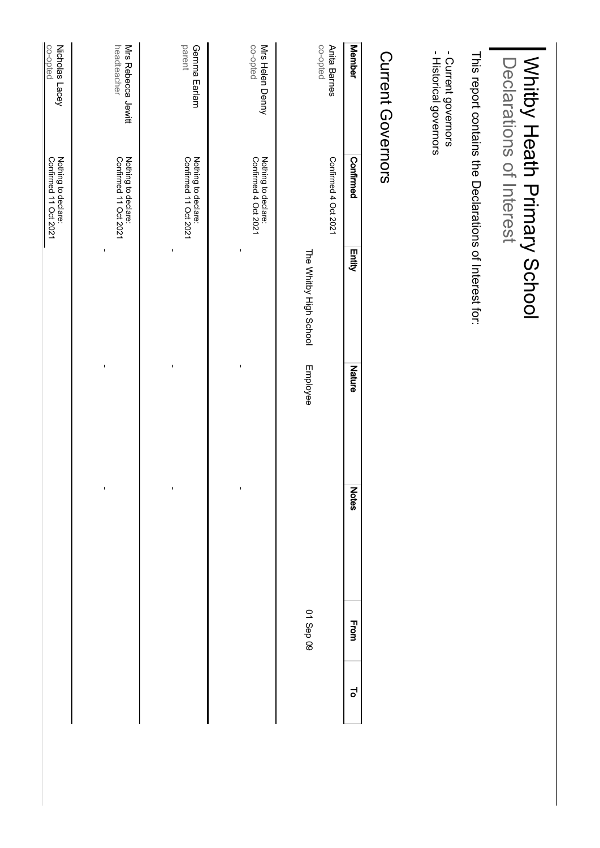| - Historical governors<br>- Current governors | This report contains the Declarations of interest for. |                        |                |                |           |   |
|-----------------------------------------------|--------------------------------------------------------|------------------------|----------------|----------------|-----------|---|
| Current Governors                             |                                                        |                        |                |                |           |   |
| <b>Member</b>                                 | Confirmed                                              | <b>Entity</b>          | Nature         | <b>Notes</b>   | From      | ಕ |
| co-opted<br>Anita Barnes                      | Confirmed 4 Oct 2021                                   |                        |                |                |           |   |
|                                               |                                                        | The Whitby High School | Employee       |                | 01 Sep 09 |   |
| co-opted<br>Mrs Helen Denny                   | Nothing to declare:<br>Confirmed 4 Oct 2021            |                        |                |                |           |   |
|                                               |                                                        |                        |                | ı              |           |   |
| parent<br>Gemma Earlam                        | Nothing to declare:<br>Confirmed 11 Oct 2021           |                        | I              | ı              |           |   |
| headteacher<br>Mrs Rebecca Jewitt             | Nothing to declare:<br>Confirmed 11 Oct 2021           | ı                      | $\blacksquare$ | $\blacksquare$ |           |   |
| Nicholas<br>Lacey                             | Nothing to declare:<br>Confirmed 11 Oct 2021           |                        |                |                |           |   |
| co-opted                                      |                                                        |                        |                |                |           |   |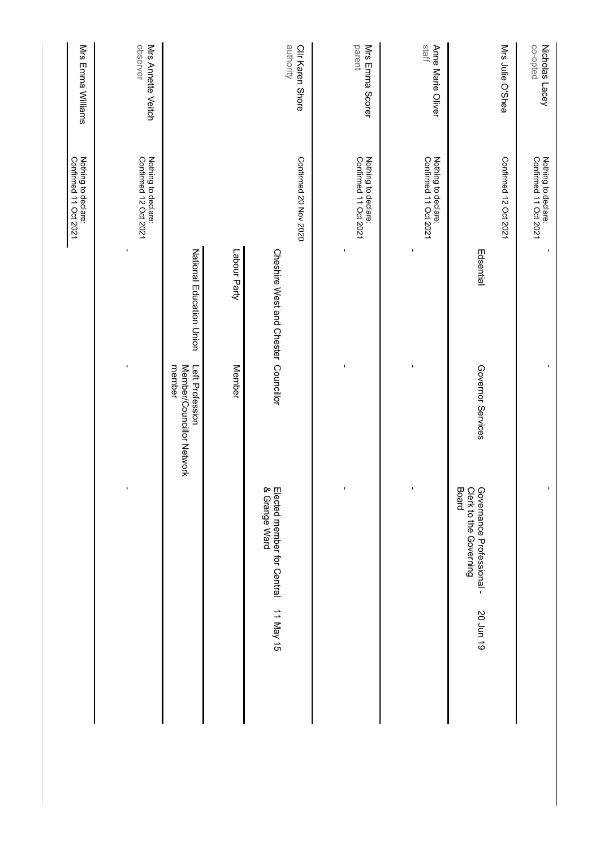|           |                                                              |                                                        |                                      | Nothing to declare:<br>Confirmed 11 Oct 2021 | Mrs Emma Williams              |
|-----------|--------------------------------------------------------------|--------------------------------------------------------|--------------------------------------|----------------------------------------------|--------------------------------|
|           |                                                              | $\blacksquare$                                         | $\blacksquare$                       | Nothing to declare:<br>Confirmed 12 Oct 2021 | observer<br>Mrs Annette Veitch |
|           |                                                              | Left Profession<br>member<br>Member/Councillor Network | National Education Union             |                                              |                                |
|           |                                                              | <b>Member</b>                                          | Labour Party                         |                                              |                                |
| 11 May 15 | Elected member for Central<br>& Grange Ward                  |                                                        | Cheshire West and Chester Councillor | Confirmed 20 Nov 2020                        | authority<br>Clir Karen Shore  |
|           |                                                              |                                                        |                                      |                                              |                                |
|           |                                                              | $\blacksquare$                                         | $\blacksquare$                       | Nothing to declare:<br>Confirmed 11 Oct 2021 | parent<br>Mrs Emma Scorer      |
|           |                                                              | ı                                                      | ı                                    | Nothing to declare:<br>Confirmed 11 Oct 2021 | staff<br>Anne Marie Oliver     |
| 50 Jun 19 | Board<br>Clerk to the Governing<br>Governance Professional - | Governor Services                                      | Edsential                            | Confirmed 12 Oct 2021                        | Mrs Julie O'Shea               |
|           |                                                              | ı                                                      | $\blacksquare$                       | Nothing to declare:<br>Confirmed 11 Oct 2021 | co-opted<br>Nicholas Lacey     |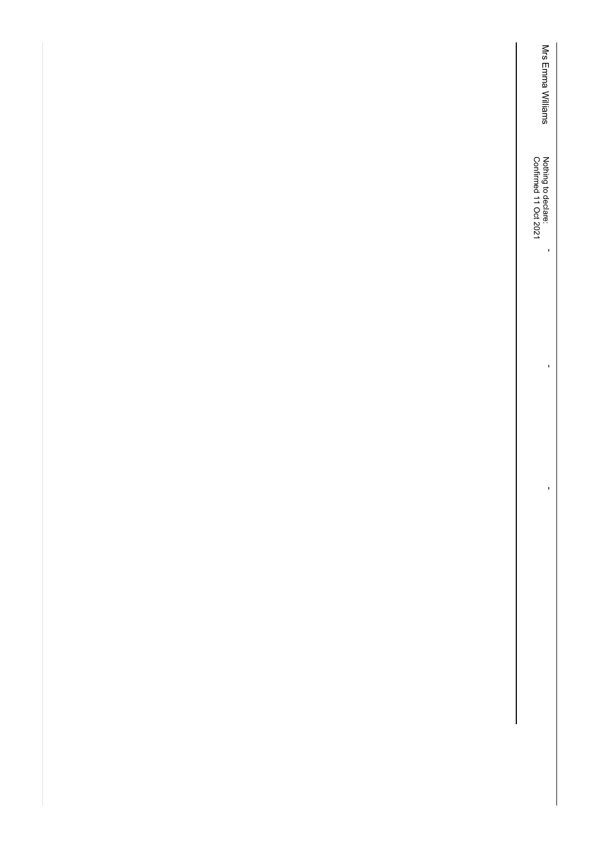Mrs Emma Williams Mrs Emma Williams Nothing to declare:<br>Confirmed 11 Oct 2021 Confirmed 11 Oct 2021 Nothing to declare:

-

-

-